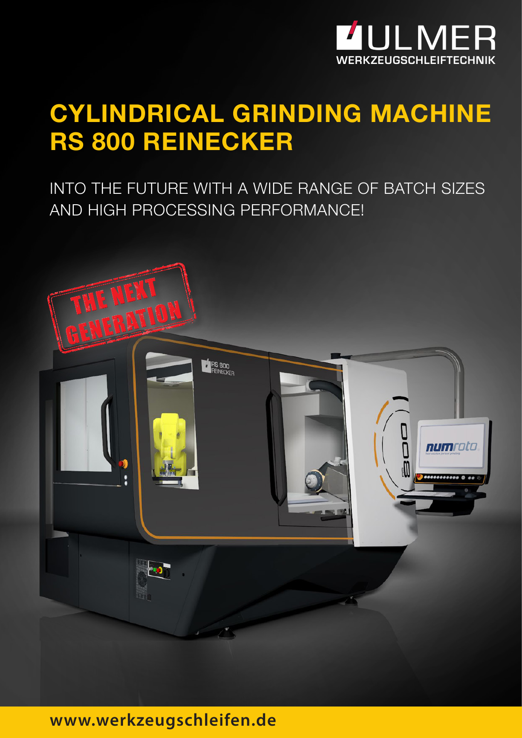

## **CYLINDRICAL GRINDING MACHINE RS 800 REINECKER**

INTO THE FUTURE WITH A WIDE RANGE OF BATCH SIZES AND HIGH PROCESSING PERFORMANCE!



### **www.werkzeugschleifen.de**